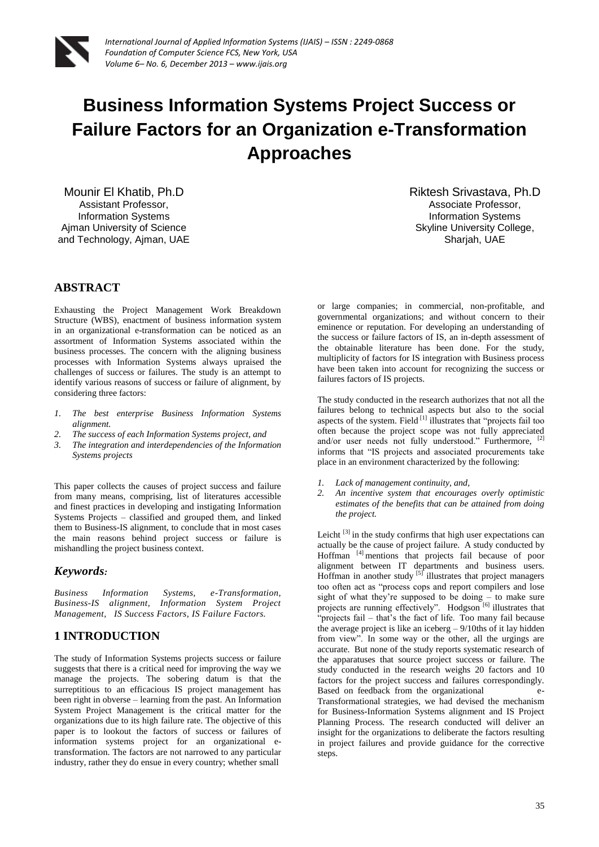# **Business Information Systems Project Success or Failure Factors for an Organization e-Transformation Approaches**

Mounir El Khatib, Ph.D Assistant Professor, Information Systems Ajman University of Science and Technology, Ajman, UAE

# **ABSTRACT**

Exhausting the Project Management Work Breakdown Structure (WBS), enactment of business information system in an organizational e-transformation can be noticed as an assortment of Information Systems associated within the business processes. The concern with the aligning business processes with Information Systems always upraised the challenges of success or failures. The study is an attempt to identify various reasons of success or failure of alignment, by considering three factors:

- *1. The best enterprise Business Information Systems alignment.*
- *2. The success of each Information Systems project, and*
- *3. The integration and interdependencies of the Information Systems projects*

This paper collects the causes of project success and failure from many means, comprising, list of literatures accessible and finest practices in developing and instigating Information Systems Projects – classified and grouped them, and linked them to Business-IS alignment, to conclude that in most cases the main reasons behind project success or failure is mishandling the project business context.

## *Keywords:*

*Business Information Systems, e-Transformation, Business-IS alignment, Information System Project Management, IS Success Factors, IS Failure Factors.* 

# **1 INTRODUCTION**

The study of Information Systems projects success or failure suggests that there is a critical need for improving the way we manage the projects. The sobering datum is that the surreptitious to an efficacious IS project management has been right in obverse – learning from the past. An Information System Project Management is the critical matter for the organizations due to its high failure rate. The objective of this paper is to lookout the factors of success or failures of information systems project for an organizational etransformation. The factors are not narrowed to any particular industry, rather they do ensue in every country; whether small

Riktesh Srivastava, Ph.D Associate Professor, Information Systems Skyline University College, Sharjah, UAE

or large companies; in commercial, non-profitable, and governmental organizations; and without concern to their eminence or reputation. For developing an understanding of the success or failure factors of IS, an in-depth assessment of the obtainable literature has been done. For the study, multiplicity of factors for IS integration with Business process have been taken into account for recognizing the success or failures factors of IS projects.

The study conducted in the research authorizes that not all the failures belong to technical aspects but also to the social aspects of the system. Field  $\left[1\right]$  illustrates that "projects fail too often because the project scope was not fully appreciated and/or user needs not fully understood." Furthermore, [2] informs that "IS projects and associated procurements take place in an environment characterized by the following:

- *1. Lack of management continuity, and,*
- *2. An incentive system that encourages overly optimistic estimates of the benefits that can be attained from doing the project.*

Leicht  $^{[3]}$  in the study confirms that high user expectations can actually be the cause of project failure. A study conducted by Hoffman [4] mentions that projects fail because of poor alignment between IT departments and business users. Hoffman in another study  $\left[5\right]$  illustrates that project managers too often act as "process cops and report compilers and lose sight of what they're supposed to be doing – to make sure projects are running effectively". Hodgson<sup>[6]</sup> illustrates that "projects fail  $-$  that's the fact of life. Too many fail because the average project is like an iceberg – 9/10ths of it lay hidden from view". In some way or the other, all the urgings are accurate. But none of the study reports systematic research of the apparatuses that source project success or failure. The study conducted in the research weighs 20 factors and 10 factors for the project success and failures correspondingly. Based on feedback from the organizational e-Transformational strategies, we had devised the mechanism for Business-Information Systems alignment and IS Project Planning Process. The research conducted will deliver an insight for the organizations to deliberate the factors resulting in project failures and provide guidance for the corrective steps.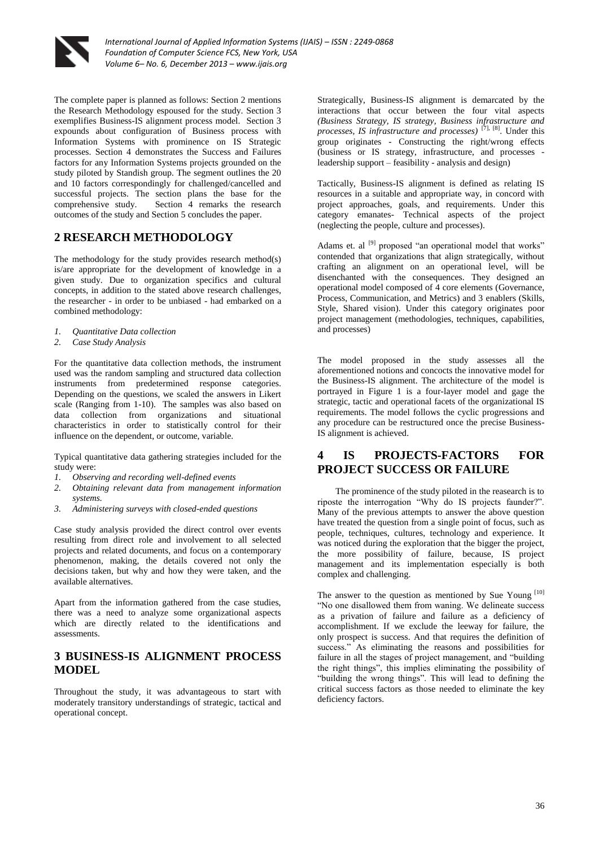

The complete paper is planned as follows: Section 2 mentions the Research Methodology espoused for the study. Section 3 exemplifies Business-IS alignment process model. Section 3 expounds about configuration of Business process with Information Systems with prominence on IS Strategic processes. Section 4 demonstrates the Success and Failures factors for any Information Systems projects grounded on the study piloted by Standish group. The segment outlines the 20 and 10 factors correspondingly for challenged/cancelled and successful projects. The section plans the base for the comprehensive study. Section 4 remarks the research Section 4 remarks the research outcomes of the study and Section 5 concludes the paper.

# **2 RESEARCH METHODOLOGY**

The methodology for the study provides research method(s) is/are appropriate for the development of knowledge in a given study. Due to organization specifics and cultural concepts, in addition to the stated above research challenges, the researcher - in order to be unbiased - had embarked on a combined methodology:

- *1. Quantitative Data collection*
- *2. Case Study Analysis*

For the quantitative data collection methods, the instrument used was the random sampling and structured data collection instruments from predetermined response categories. Depending on the questions, we scaled the answers in Likert scale (Ranging from 1-10). The samples was also based on data collection from organizations and situational characteristics in order to statistically control for their influence on the dependent, or outcome, variable.

Typical quantitative data gathering strategies included for the study were:

- *1. Observing and recording well-defined events*
- *2. Obtaining relevant data from management information systems.*
- *3. Administering surveys with closed-ended questions*

Case study analysis provided the direct control over events resulting from direct role and involvement to all selected projects and related documents, and focus on a contemporary phenomenon, making, the details covered not only the decisions taken, but why and how they were taken, and the available alternatives.

Apart from the information gathered from the case studies, there was a need to analyze some organizational aspects which are directly related to the identifications and assessments.

# **3 BUSINESS-IS ALIGNMENT PROCESS MODEL**

Throughout the study, it was advantageous to start with moderately transitory understandings of strategic, tactical and operational concept.

Strategically, Business-IS alignment is demarcated by the interactions that occur between the four vital aspects *(Business Strategy, IS strategy, Business infrastructure and processes, IS infrastructure and processes)* [7], [8]. Under this group originates - Constructing the right/wrong effects (business or IS strategy, infrastructure, and processes leadership support – feasibility - analysis and design)

Tactically, Business-IS alignment is defined as relating IS resources in a suitable and appropriate way, in concord with project approaches, goals, and requirements. Under this category emanates- Technical aspects of the project (neglecting the people, culture and processes).

Adams et. al <sup>[9]</sup> proposed "an operational model that works" contended that organizations that align strategically, without crafting an alignment on an operational level, will be disenchanted with the consequences. They designed an operational model composed of 4 core elements (Governance, Process, Communication, and Metrics) and 3 enablers (Skills, Style, Shared vision). Under this category originates poor project management (methodologies, techniques, capabilities, and processes)

The model proposed in the study assesses all the aforementioned notions and concocts the innovative model for the Business-IS alignment. The architecture of the model is portrayed in Figure 1 is a four-layer model and gage the strategic, tactic and operational facets of the organizational IS requirements. The model follows the cyclic progressions and any procedure can be restructured once the precise Business-IS alignment is achieved.

# **4 IS PROJECTS-FACTORS FOR PROJECT SUCCESS OR FAILURE**

The prominence of the study piloted in the reasearch is to riposte the interrogation "Why do IS projects faunder?". Many of the previous attempts to answer the above question have treated the question from a single point of focus, such as people, techniques, cultures, technology and experience. It was noticed during the exploration that the bigger the project, the more possibility of failure, because, IS project management and its implementation especially is both complex and challenging.

The answer to the question as mentioned by Sue Young [10] "No one disallowed them from waning. We delineate success as a privation of failure and failure as a deficiency of accomplishment. If we exclude the leeway for failure, the only prospect is success. And that requires the definition of success." As eliminating the reasons and possibilities for failure in all the stages of project management, and "building the right things", this implies eliminating the possibility of "building the wrong things". This will lead to defining the critical success factors as those needed to eliminate the key deficiency factors.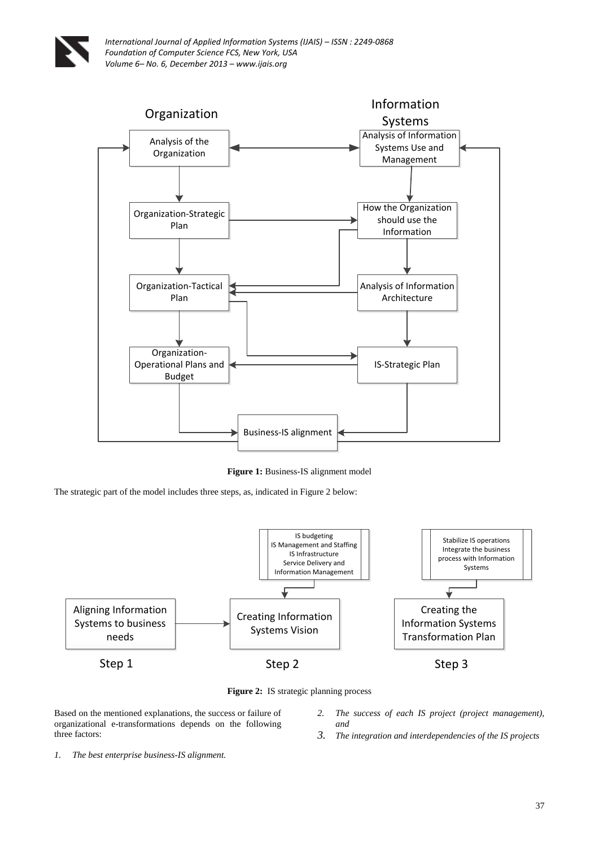

*International Journal of Applied Information Systems (IJAIS) – ISSN : 2249-0868 Foundation of Computer Science FCS, New York, USA Volume 6– No. 6, December 2013 – www.ijais.org*



**Figure 1:** Business-IS alignment model

The strategic part of the model includes three steps, as, indicated in Figure 2 below:





Based on the mentioned explanations, the success or failure of organizational e-transformations depends on the following three factors:

- *2. The success of each IS project (project management), and*
- *3. The integration and interdependencies of the IS projects*

*1. The best enterprise business-IS alignment.*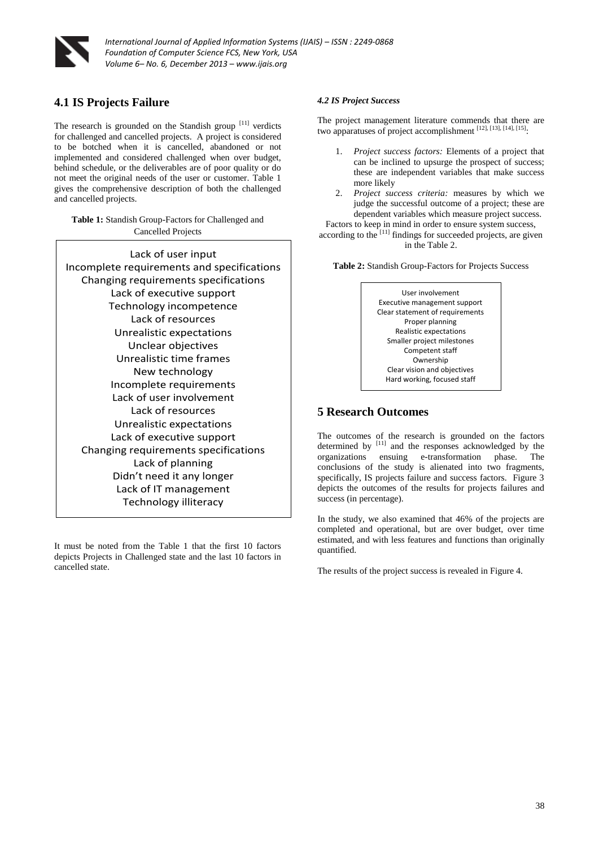

*International Journal of Applied Information Systems (IJAIS) – ISSN : 2249-0868 Foundation of Computer Science FCS, New York, USA Volume 6– No. 6, December 2013 – www.ijais.org*

# **4.1 IS Projects Failure**

The research is grounded on the Standish group [11] verdicts for challenged and cancelled projects. A project is considered to be botched when it is cancelled, abandoned or not implemented and considered challenged when over budget, behind schedule, or the deliverables are of poor quality or do not meet the original needs of the user or customer. Table 1 gives the comprehensive description of both the challenged and cancelled projects.

**Table 1:** Standish Group-Factors for Challenged and Cancelled Projects

Lack of user input Incomplete requirements and specifications Changing requirements specifications Lack of executive support Technology incompetence Lack of resources Unrealistic expectations Unclear objectives Unrealistic time frames New technology Incomplete requirements Lack of user involvement Lack of resources Unrealistic expectations Lack of executive support Changing requirements specifications Lack of planning Didn't need it any longer Lack of IT management Technology illiteracy

It must be noted from the Table 1 that the first 10 factors depicts Projects in Challenged state and the last 10 factors in cancelled state.

#### *4.2 IS Project Success*

The project management literature commends that there are two apparatuses of project accomplishment [12], [13], [14], [15].

- 1. *Project success factors:* Elements of a project that can be inclined to upsurge the prospect of success; these are independent variables that make success more likely
- 2. *Project success criteria:* measures by which we judge the successful outcome of a project; these are dependent variables which measure project success.

Factors to keep in mind in order to ensure system success, according to the  $[11]$  findings for succeeded projects, are given in the Table 2.

**Table 2:** Standish Group-Factors for Projects Success



# **5 Research Outcomes**

The outcomes of the research is grounded on the factors determined by  $[11]$  and the responses acknowledged by the organizations ensuing e-transformation phase. The conclusions of the study is alienated into two fragments, specifically, IS projects failure and success factors. Figure 3 depicts the outcomes of the results for projects failures and success (in percentage).

In the study, we also examined that 46% of the projects are completed and operational, but are over budget, over time estimated, and with less features and functions than originally quantified.

The results of the project success is revealed in Figure 4.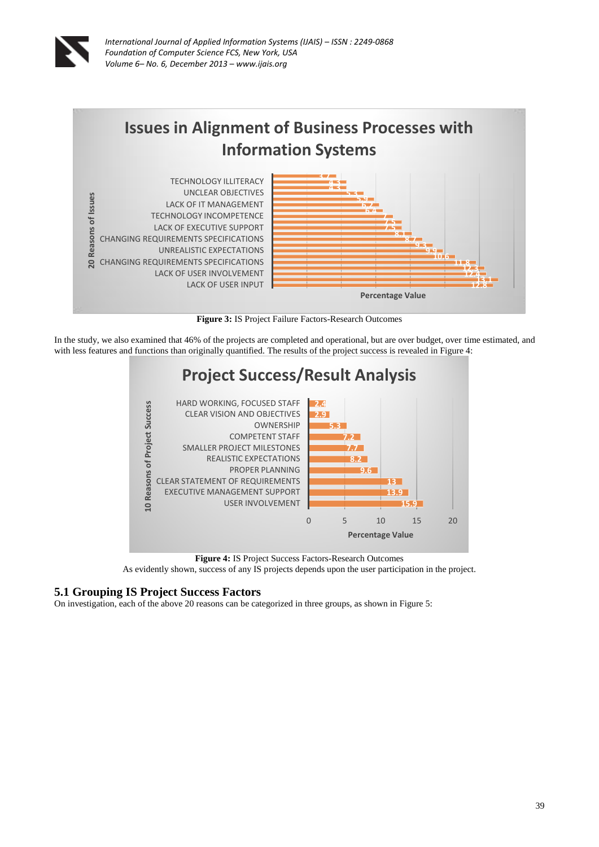



**Figure 3:** IS Project Failure Factors-Research Outcomes

In the study, we also examined that 46% of the projects are completed and operational, but are over budget, over time estimated, and with less features and functions than originally quantified. The results of the project success is revealed in Figure 4:



**Figure 4:** IS Project Success Factors-Research Outcomes

As evidently shown, success of any IS projects depends upon the user participation in the project.

## **5.1 Grouping IS Project Success Factors**

On investigation, each of the above 20 reasons can be categorized in three groups, as shown in Figure 5: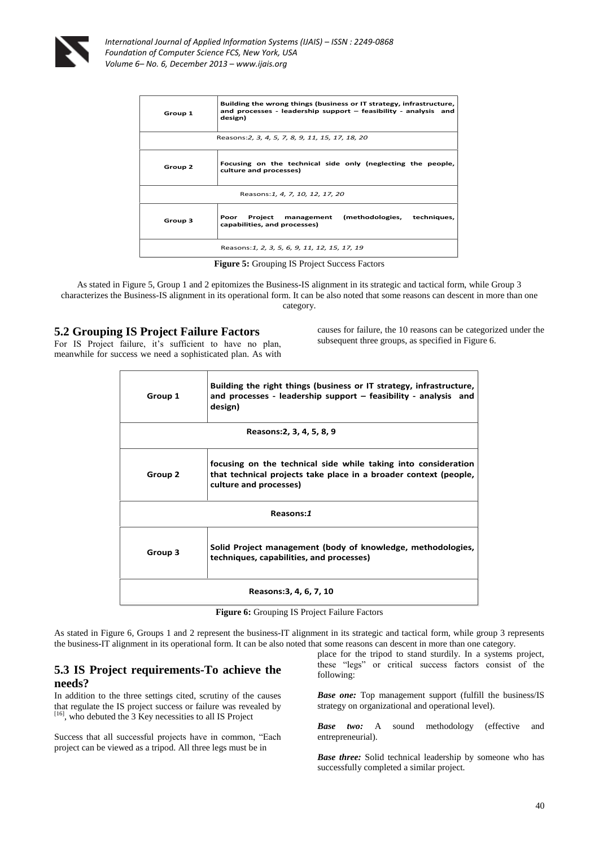

*International Journal of Applied Information Systems (IJAIS) – ISSN : 2249-0868 Foundation of Computer Science FCS, New York, USA Volume 6– No. 6, December 2013 – www.ijais.org*

| Group 1                                          | Building the wrong things (business or IT strategy, infrastructure,<br>and processes - leadership support $-$ feasibility - analysis and<br>design) |
|--------------------------------------------------|-----------------------------------------------------------------------------------------------------------------------------------------------------|
| Reasons: 2, 3, 4, 5, 7, 8, 9, 11, 15, 17, 18, 20 |                                                                                                                                                     |
| Group 2                                          | Focusing on the technical side only (neglecting the people,<br>culture and processes)                                                               |
| Reasons: 1, 4, 7, 10, 12, 17, 20                 |                                                                                                                                                     |
| Group 3                                          | (methodologies, techniques,<br>Project<br>Poor<br>management<br>capabilities, and processes)                                                        |
|                                                  | Reasons: 1, 2, 3, 5, 6, 9, 11, 12, 15, 17, 19                                                                                                       |

**Figure 5:** Grouping IS Project Success Factors

As stated in Figure 5, Group 1 and 2 epitomizes the Business-IS alignment in its strategic and tactical form, while Group 3 characterizes the Business-IS alignment in its operational form. It can be also noted that some reasons can descent in more than one category.

## **5.2 Grouping IS Project Failure Factors**

For IS Project failure, it's sufficient to have no plan, meanwhile for success we need a sophisticated plan. As with

causes for failure, the 10 reasons can be categorized under the subsequent three groups, as specified in Figure 6.

| Group 1 | Building the right things (business or IT strategy, infrastructure,<br>and processes - leadership support $-$ feasibility - analysis and<br>design)          |
|---------|--------------------------------------------------------------------------------------------------------------------------------------------------------------|
|         | Reasons: 2, 3, 4, 5, 8, 9                                                                                                                                    |
| Group 2 | focusing on the technical side while taking into consideration<br>that technical projects take place in a broader context (people,<br>culture and processes) |
|         | Reasons:1                                                                                                                                                    |
| Group 3 | Solid Project management (body of knowledge, methodologies,<br>techniques, capabilities, and processes)                                                      |
|         | Reasons: 3, 4, 6, 7, 10                                                                                                                                      |

**Figure 6:** Grouping IS Project Failure Factors

As stated in Figure 6, Groups 1 and 2 represent the business-IT alignment in its strategic and tactical form, while group 3 represents the business-IT alignment in its operational form. It can be also noted that some reasons can descent in more than one category.

## **5.3 IS Project requirements-To achieve the needs?**

In addition to the three settings cited, scrutiny of the causes that regulate the IS project success or failure was revealed by  $[16]$ , who debuted the 3 Key necessities to all IS Project

Success that all successful projects have in common, "Each project can be viewed as a tripod. All three legs must be in

place for the tripod to stand sturdily. In a systems project, these "legs" or critical success factors consist of the following:

*Base one:* Top management support (fulfill the business/IS strategy on organizational and operational level).

*Base two:* A sound methodology (effective and entrepreneurial).

*Base three:* Solid technical leadership by someone who has successfully completed a similar project.